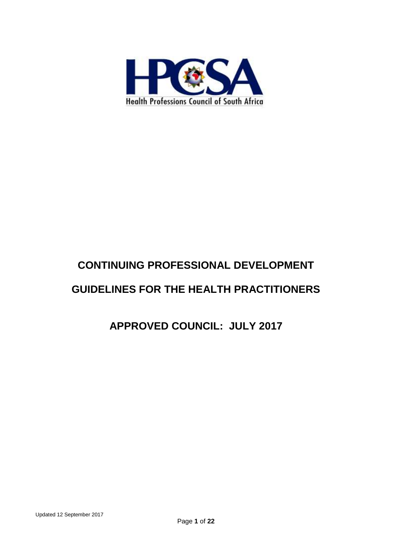

# **CONTINUING PROFESSIONAL DEVELOPMENT**

# **GUIDELINES FOR THE HEALTH PRACTITIONERS**

# **APPROVED COUNCIL: JULY 2017**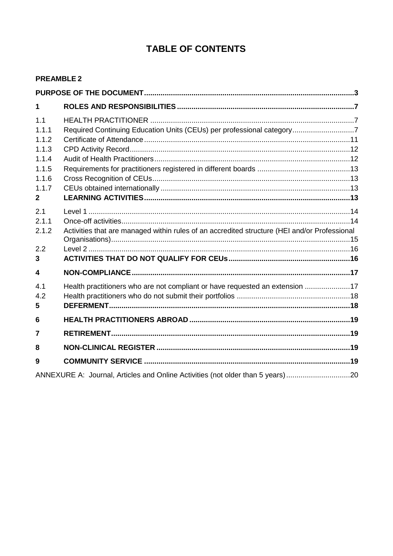# **TABLE OF CONTENTS**

#### **PREAMBLE 2**

| 1                                                                                  |                                                                                              |  |  |
|------------------------------------------------------------------------------------|----------------------------------------------------------------------------------------------|--|--|
| 1.1<br>1.1.1<br>1.1.2<br>1.1.3<br>1.1.4<br>1.1.5<br>1.1.6<br>1.1.7<br>$\mathbf{2}$ | Required Continuing Education Units (CEUs) per professional category7                        |  |  |
| 2.1<br>2.1.1<br>2.1.2<br>2.2<br>3                                                  | Activities that are managed within rules of an accredited structure (HEI and/or Professional |  |  |
| 4                                                                                  |                                                                                              |  |  |
| 4.1<br>4.2<br>5                                                                    | Health practitioners who are not compliant or have requested an extension 17                 |  |  |
| 6                                                                                  |                                                                                              |  |  |
| 7                                                                                  |                                                                                              |  |  |
| 8                                                                                  |                                                                                              |  |  |
| 9                                                                                  |                                                                                              |  |  |
|                                                                                    | ANNEXURE A: Journal, Articles and Online Activities (not older than 5 years) 20              |  |  |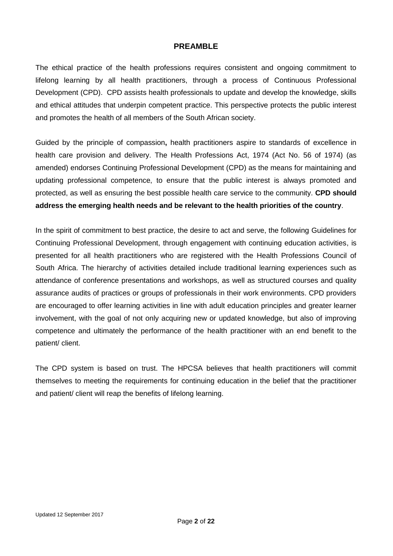#### **PREAMBLE**

<span id="page-2-0"></span>The ethical practice of the health professions requires consistent and ongoing commitment to lifelong learning by all health practitioners, through a process of Continuous Professional Development (CPD). CPD assists health professionals to update and develop the knowledge, skills and ethical attitudes that underpin competent practice. This perspective protects the public interest and promotes the health of all members of the South African society.

Guided by the principle of compassion**,** health practitioners aspire to standards of excellence in health care provision and delivery. The Health Professions Act, 1974 (Act No. 56 of 1974) (as amended) endorses Continuing Professional Development (CPD) as the means for maintaining and updating professional competence, to ensure that the public interest is always promoted and protected, as well as ensuring the best possible health care service to the community. **CPD should address the emerging health needs and be relevant to the health priorities of the country**.

In the spirit of commitment to best practice, the desire to act and serve, the following Guidelines for Continuing Professional Development, through engagement with continuing education activities, is presented for all health practitioners who are registered with the Health Professions Council of South Africa. The hierarchy of activities detailed include traditional learning experiences such as attendance of conference presentations and workshops, as well as structured courses and quality assurance audits of practices or groups of professionals in their work environments. CPD providers are encouraged to offer learning activities in line with adult education principles and greater learner involvement, with the goal of not only acquiring new or updated knowledge, but also of improving competence and ultimately the performance of the health practitioner with an end benefit to the patient/ client.

The CPD system is based on trust. The HPCSA believes that health practitioners will commit themselves to meeting the requirements for continuing education in the belief that the practitioner and patient/ client will reap the benefits of lifelong learning.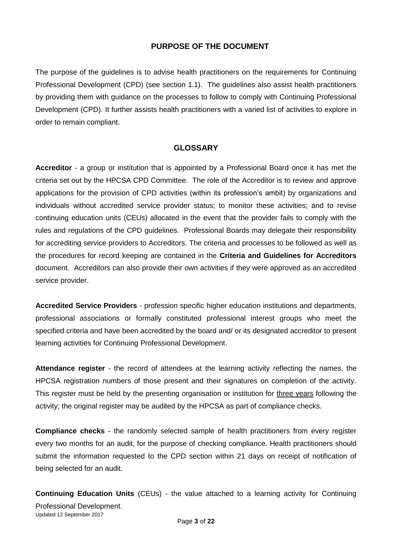# **PURPOSE OF THE DOCUMENT**

<span id="page-3-0"></span>The purpose of the guidelines is to advise health practitioners on the requirements for Continuing Professional Development (CPD) (see section 1.1). The guidelines also assist health practitioners by providing them with guidance on the processes to follow to comply with Continuing Professional Development (CPD). It further assists health practitioners with a varied list of activities to explore in order to remain compliant.

#### **GLOSSARY**

**Accreditor** - a group or institution that is appointed by a Professional Board once it has met the criteria set out by the HPCSA CPD Committee. The role of the Accreditor is to review and approve applications for the provision of CPD activities (within its profession's ambit) by organizations and individuals without accredited service provider status; to monitor these activities; and to revise continuing education units (CEUs) allocated in the event that the provider fails to comply with the rules and regulations of the CPD guidelines. Professional Boards may delegate their responsibility for accrediting service providers to Accreditors. The criteria and processes to be followed as well as the procedures for record keeping are contained in the **Criteria and Guidelines for Accreditors** document. Accreditors can also provide their own activities if they were approved as an accredited service provider.

**Accredited Service Providers** - profession specific higher education institutions and departments, professional associations or formally constituted professional interest groups who meet the specified criteria and have been accredited by the board and/ or its designated accreditor to present learning activities for Continuing Professional Development.

**Attendance register** - the record of attendees at the learning activity reflecting the names, the HPCSA registration numbers of those present and their signatures on completion of the activity. This register must be held by the presenting organisation or institution for three years following the activity; the original register may be audited by the HPCSA as part of compliance checks.

**Compliance checks** - the randomly selected sample of health practitioners from every register every two months for an audit, for the purpose of checking compliance. Health practitioners should submit the information requested to the CPD section within 21 days on receipt of notification of being selected for an audit.

Updated 12 September 2017 **Continuing Education Units** (CEUs) - the value attached to a learning activity for Continuing Professional Development.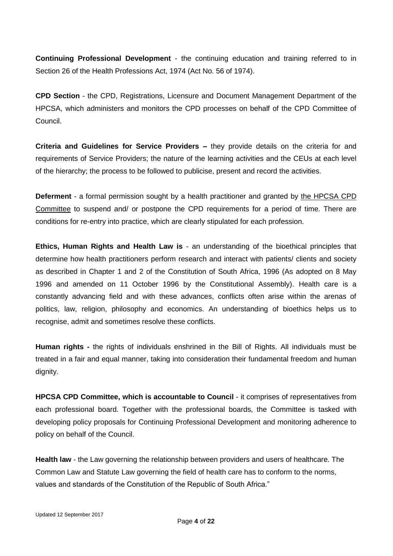**Continuing Professional Development** - the continuing education and training referred to in Section 26 of the Health Professions Act, 1974 (Act No. 56 of 1974).

**CPD Section** - the CPD, Registrations, Licensure and Document Management Department of the HPCSA, which administers and monitors the CPD processes on behalf of the CPD Committee of Council.

**Criteria and Guidelines for Service Providers –** they provide details on the criteria for and requirements of Service Providers; the nature of the learning activities and the CEUs at each level of the hierarchy; the process to be followed to publicise, present and record the activities.

**Deferment** - a formal permission sought by a health practitioner and granted by the HPCSA CPD Committee to suspend and/ or postpone the CPD requirements for a period of time. There are conditions for re-entry into practice, which are clearly stipulated for each profession.

**Ethics, Human Rights and Health Law is** - an understanding of the bioethical principles that determine how health practitioners perform research and interact with patients/ clients and society as described in Chapter 1 and 2 of the Constitution of South Africa, 1996 (As adopted on 8 May 1996 and amended on 11 October 1996 by the Constitutional Assembly). Health care is a constantly advancing field and with these advances, conflicts often arise within the arenas of politics, law, religion, philosophy and economics. An understanding of bioethics helps us to recognise, admit and sometimes resolve these conflicts.

**Human rights -** the rights of individuals enshrined in the Bill of Rights. All individuals must be treated in a fair and equal manner, taking into consideration their fundamental freedom and human dignity.

**HPCSA CPD Committee, which is accountable to Council** - it comprises of representatives from each professional board. Together with the professional boards, the Committee is tasked with developing policy proposals for Continuing Professional Development and monitoring adherence to policy on behalf of the Council.

**Health law** - the Law governing the relationship between providers and users of healthcare. The Common Law and Statute Law governing the field of health care has to conform to the norms, values and standards of the Constitution of the Republic of South Africa."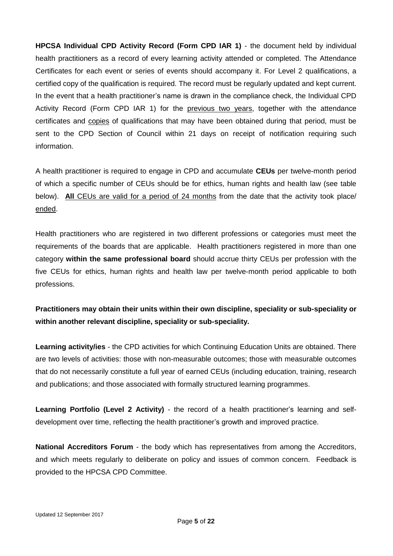**HPCSA Individual CPD Activity Record (Form CPD IAR 1)** - the document held by individual health practitioners as a record of every learning activity attended or completed. The Attendance Certificates for each event or series of events should accompany it. For Level 2 qualifications, a certified copy of the qualification is required. The record must be regularly updated and kept current. In the event that a health practitioner's name is drawn in the compliance check, the Individual CPD Activity Record (Form CPD IAR 1) for the previous two years, together with the attendance certificates and copies of qualifications that may have been obtained during that period, must be sent to the CPD Section of Council within 21 days on receipt of notification requiring such information.

A health practitioner is required to engage in CPD and accumulate **CEUs** per twelve-month period of which a specific number of CEUs should be for ethics, human rights and health law (see table below). **All** CEUs are valid for a period of 24 months from the date that the activity took place/ ended.

Health practitioners who are registered in two different professions or categories must meet the requirements of the boards that are applicable. Health practitioners registered in more than one category **within the same professional board** should accrue thirty CEUs per profession with the five CEUs for ethics, human rights and health law per twelve-month period applicable to both professions.

# **Practitioners may obtain their units within their own discipline, speciality or sub-speciality or within another relevant discipline, speciality or sub-speciality.**

**Learning activity/ies** - the CPD activities for which Continuing Education Units are obtained. There are two levels of activities: those with non-measurable outcomes; those with measurable outcomes that do not necessarily constitute a full year of earned CEUs (including education, training, research and publications; and those associated with formally structured learning programmes.

**Learning Portfolio (Level 2 Activity)** - the record of a health practitioner's learning and selfdevelopment over time, reflecting the health practitioner's growth and improved practice.

**National Accreditors Forum** - the body which has representatives from among the Accreditors, and which meets regularly to deliberate on policy and issues of common concern. Feedback is provided to the HPCSA CPD Committee.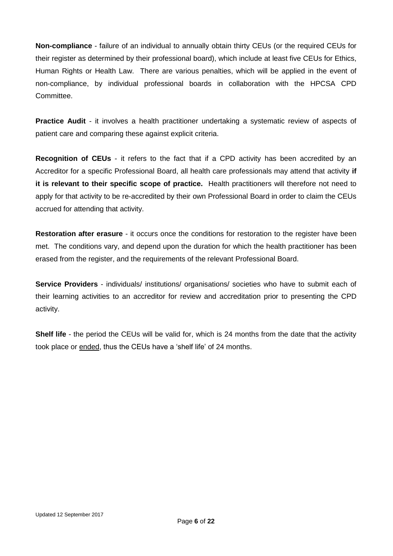**Non-compliance** - failure of an individual to annually obtain thirty CEUs (or the required CEUs for their register as determined by their professional board), which include at least five CEUs for Ethics, Human Rights or Health Law. There are various penalties, which will be applied in the event of non-compliance, by individual professional boards in collaboration with the HPCSA CPD Committee.

**Practice Audit** - it involves a health practitioner undertaking a systematic review of aspects of patient care and comparing these against explicit criteria.

**Recognition of CEUs** - it refers to the fact that if a CPD activity has been accredited by an Accreditor for a specific Professional Board, all health care professionals may attend that activity **if it is relevant to their specific scope of practice.** Health practitioners will therefore not need to apply for that activity to be re-accredited by their own Professional Board in order to claim the CEUs accrued for attending that activity.

**Restoration after erasure** - it occurs once the conditions for restoration to the register have been met. The conditions vary, and depend upon the duration for which the health practitioner has been erased from the register, and the requirements of the relevant Professional Board.

**Service Providers** - individuals/ institutions/ organisations/ societies who have to submit each of their learning activities to an accreditor for review and accreditation prior to presenting the CPD activity.

**Shelf life** - the period the CEUs will be valid for, which is 24 months from the date that the activity took place or ended, thus the CEUs have a 'shelf life' of 24 months.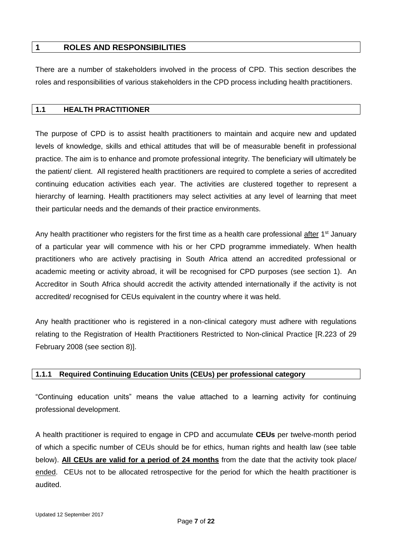# <span id="page-7-0"></span>**1 ROLES AND RESPONSIBILITIES**

There are a number of stakeholders involved in the process of CPD. This section describes the roles and responsibilities of various stakeholders in the CPD process including health practitioners.

#### <span id="page-7-1"></span>**1.1 HEALTH PRACTITIONER**

The purpose of CPD is to assist health practitioners to maintain and acquire new and updated levels of knowledge, skills and ethical attitudes that will be of measurable benefit in professional practice. The aim is to enhance and promote professional integrity. The beneficiary will ultimately be the patient/ client. All registered health practitioners are required to complete a series of accredited continuing education activities each year. The activities are clustered together to represent a hierarchy of learning. Health practitioners may select activities at any level of learning that meet their particular needs and the demands of their practice environments.

Any health practitioner who registers for the first time as a health care professional after 1<sup>st</sup> January of a particular year will commence with his or her CPD programme immediately. When health practitioners who are actively practising in South Africa attend an accredited professional or academic meeting or activity abroad, it will be recognised for CPD purposes (see section 1). An Accreditor in South Africa should accredit the activity attended internationally if the activity is not accredited/ recognised for CEUs equivalent in the country where it was held.

Any health practitioner who is registered in a non-clinical category must adhere with regulations relating to the Registration of Health Practitioners Restricted to Non-clinical Practice [R.223 of 29 February 2008 (see section 8)].

# <span id="page-7-2"></span>**1.1.1 Required Continuing Education Units (CEUs) per professional category**

"Continuing education units" means the value attached to a learning activity for continuing professional development.

A health practitioner is required to engage in CPD and accumulate **CEUs** per twelve-month period of which a specific number of CEUs should be for ethics, human rights and health law (see table below). **All CEUs are valid for a period of 24 months** from the date that the activity took place/ ended. CEUs not to be allocated retrospective for the period for which the health practitioner is audited.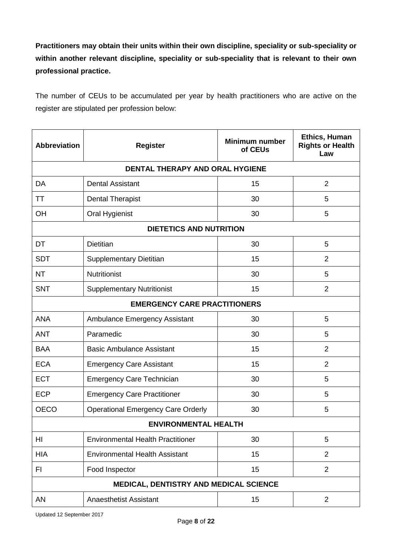**Practitioners may obtain their units within their own discipline, speciality or sub-speciality or within another relevant discipline, speciality or sub-speciality that is relevant to their own professional practice.**

The number of CEUs to be accumulated per year by health practitioners who are active on the register are stipulated per profession below:

| <b>Abbreviation</b>                    | <b>Register</b>                           | <b>Minimum number</b><br>of CEUs | Ethics, Human<br><b>Rights or Health</b><br>Law |
|----------------------------------------|-------------------------------------------|----------------------------------|-------------------------------------------------|
|                                        | DENTAL THERAPY AND ORAL HYGIENE           |                                  |                                                 |
| DA                                     | <b>Dental Assistant</b>                   | 15                               | $\overline{2}$                                  |
| <b>TT</b>                              | <b>Dental Therapist</b>                   | 30                               | 5                                               |
| OH                                     | Oral Hygienist                            | 30                               | 5                                               |
| <b>DIETETICS AND NUTRITION</b>         |                                           |                                  |                                                 |
| <b>DT</b>                              | <b>Dietitian</b>                          | 30                               | 5                                               |
| <b>SDT</b>                             | Supplementary Dietitian                   | 15                               | $\overline{2}$                                  |
| <b>NT</b>                              | Nutritionist                              | 30                               | 5                                               |
| <b>SNT</b>                             | <b>Supplementary Nutritionist</b>         | 15                               | $\overline{2}$                                  |
| <b>EMERGENCY CARE PRACTITIONERS</b>    |                                           |                                  |                                                 |
| <b>ANA</b>                             | <b>Ambulance Emergency Assistant</b>      | 30                               | 5                                               |
| <b>ANT</b>                             | Paramedic                                 | 30                               | 5                                               |
| <b>BAA</b>                             | <b>Basic Ambulance Assistant</b>          | 15                               | $\overline{2}$                                  |
| <b>ECA</b>                             | <b>Emergency Care Assistant</b>           | 15                               | $\overline{2}$                                  |
| <b>ECT</b>                             | <b>Emergency Care Technician</b>          | 30                               | 5                                               |
| <b>ECP</b>                             | <b>Emergency Care Practitioner</b>        | 30                               | 5                                               |
| <b>OECO</b>                            | <b>Operational Emergency Care Orderly</b> | 30                               | 5                                               |
| <b>ENVIRONMENTAL HEALTH</b>            |                                           |                                  |                                                 |
| HI                                     | <b>Environmental Health Practitioner</b>  | 30                               | 5                                               |
| <b>HIA</b>                             | <b>Environmental Health Assistant</b>     | 15                               | $\overline{2}$                                  |
| FI.                                    | Food Inspector                            | 15                               | $\overline{2}$                                  |
| MEDICAL, DENTISTRY AND MEDICAL SCIENCE |                                           |                                  |                                                 |
| <b>AN</b>                              | <b>Anaesthetist Assistant</b>             | 15                               | $\overline{2}$                                  |

Updated 12 September 2017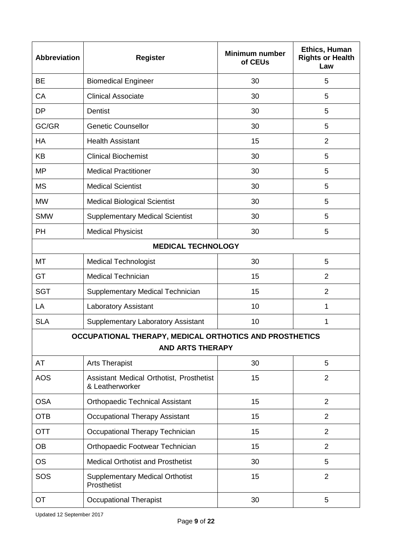| <b>Abbreviation</b>                                                                | <b>Register</b>                                             | <b>Minimum number</b><br>of CEUs | <b>Ethics, Human</b><br><b>Rights or Health</b><br>Law |
|------------------------------------------------------------------------------------|-------------------------------------------------------------|----------------------------------|--------------------------------------------------------|
| <b>BE</b>                                                                          | <b>Biomedical Engineer</b>                                  | 30                               | 5                                                      |
| CA                                                                                 | <b>Clinical Associate</b>                                   | 30                               | 5                                                      |
| <b>DP</b>                                                                          | Dentist                                                     | 30                               | 5                                                      |
| GC/GR                                                                              | <b>Genetic Counsellor</b>                                   | 30                               | 5                                                      |
| HA                                                                                 | <b>Health Assistant</b>                                     | 15                               | $\overline{2}$                                         |
| KB                                                                                 | <b>Clinical Biochemist</b>                                  | 30                               | 5                                                      |
| <b>MP</b>                                                                          | <b>Medical Practitioner</b>                                 | 30                               | 5                                                      |
| <b>MS</b>                                                                          | <b>Medical Scientist</b>                                    | 30                               | 5                                                      |
| <b>MW</b>                                                                          | <b>Medical Biological Scientist</b>                         | 30                               | 5                                                      |
| <b>SMW</b>                                                                         | <b>Supplementary Medical Scientist</b>                      | 30                               | 5                                                      |
| <b>PH</b>                                                                          | <b>Medical Physicist</b>                                    | 30                               | 5                                                      |
|                                                                                    | <b>MEDICAL TECHNOLOGY</b>                                   |                                  |                                                        |
| <b>MT</b>                                                                          | <b>Medical Technologist</b>                                 | 30                               | 5                                                      |
| GT                                                                                 | <b>Medical Technician</b>                                   | 15                               | $\overline{2}$                                         |
| <b>SGT</b>                                                                         | Supplementary Medical Technician                            | 15                               | $\overline{2}$                                         |
| LA                                                                                 | <b>Laboratory Assistant</b>                                 | 10                               | 1                                                      |
| <b>SLA</b>                                                                         | <b>Supplementary Laboratory Assistant</b>                   | 10                               | 1                                                      |
| OCCUPATIONAL THERAPY, MEDICAL ORTHOTICS AND PROSTHETICS<br><b>AND ARTS THERAPY</b> |                                                             |                                  |                                                        |
| AT                                                                                 | <b>Arts Therapist</b>                                       | 30                               | 5                                                      |
| <b>AOS</b>                                                                         | Assistant Medical Orthotist, Prosthetist<br>& Leatherworker | 15                               | $\overline{2}$                                         |
| <b>OSA</b>                                                                         | <b>Orthopaedic Technical Assistant</b>                      | 15                               | $\overline{2}$                                         |
| <b>OTB</b>                                                                         | <b>Occupational Therapy Assistant</b>                       | 15                               | $\overline{2}$                                         |
| <b>OTT</b>                                                                         | Occupational Therapy Technician                             | 15                               | $\overline{2}$                                         |
| <b>OB</b>                                                                          | Orthopaedic Footwear Technician                             | 15                               | $\overline{2}$                                         |
| <b>OS</b>                                                                          | <b>Medical Orthotist and Prosthetist</b>                    | 30                               | 5                                                      |
| SOS                                                                                | <b>Supplementary Medical Orthotist</b><br>Prosthetist       | 15                               | $\overline{2}$                                         |
| <b>OT</b>                                                                          | <b>Occupational Therapist</b>                               | 30                               | 5                                                      |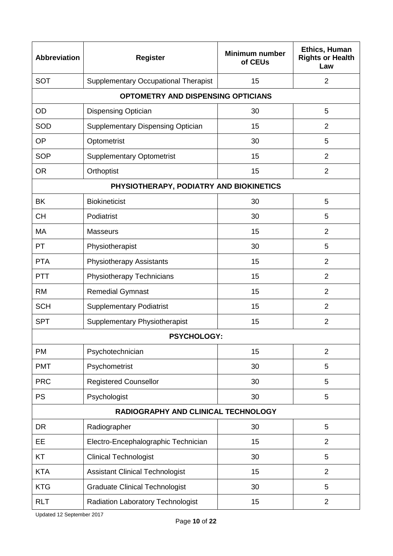| <b>Abbreviation</b>                     | <b>Register</b>                             | <b>Minimum number</b><br>of CEUs | <b>Ethics, Human</b><br><b>Rights or Health</b><br>Law |
|-----------------------------------------|---------------------------------------------|----------------------------------|--------------------------------------------------------|
| <b>SOT</b>                              | <b>Supplementary Occupational Therapist</b> | 15                               | $\overline{2}$                                         |
|                                         | OPTOMETRY AND DISPENSING OPTICIANS          |                                  |                                                        |
| OD                                      | <b>Dispensing Optician</b>                  | 30                               | 5                                                      |
| SOD                                     | <b>Supplementary Dispensing Optician</b>    | 15                               | $\overline{2}$                                         |
| <b>OP</b>                               | Optometrist                                 | 30                               | 5                                                      |
| <b>SOP</b>                              | <b>Supplementary Optometrist</b>            | 15                               | $\overline{2}$                                         |
| <b>OR</b>                               | Orthoptist                                  | 15                               | $\overline{2}$                                         |
| PHYSIOTHERAPY, PODIATRY AND BIOKINETICS |                                             |                                  |                                                        |
| <b>BK</b>                               | <b>Biokineticist</b>                        | 30                               | 5                                                      |
| <b>CH</b>                               | Podiatrist                                  | 30                               | 5                                                      |
| <b>MA</b>                               | <b>Masseurs</b>                             | 15                               | $\overline{2}$                                         |
| PT                                      | Physiotherapist                             | 30                               | 5                                                      |
| <b>PTA</b>                              | <b>Physiotherapy Assistants</b>             | 15                               | $\overline{2}$                                         |
| <b>PTT</b>                              | <b>Physiotherapy Technicians</b>            | 15                               | $\overline{2}$                                         |
| <b>RM</b>                               | <b>Remedial Gymnast</b>                     | 15                               | $\overline{2}$                                         |
| <b>SCH</b>                              | <b>Supplementary Podiatrist</b>             | 15                               | $\overline{2}$                                         |
| <b>SPT</b>                              | Supplementary Physiotherapist               | 15                               | $\overline{2}$                                         |
|                                         | <b>PSYCHOLOGY:</b>                          |                                  |                                                        |
| <b>PM</b>                               | Psychotechnician                            | 15                               | $\overline{2}$                                         |
| <b>PMT</b>                              | Psychometrist                               | 30                               | 5                                                      |
| <b>PRC</b>                              | <b>Registered Counsellor</b>                | 30                               | 5                                                      |
| <b>PS</b>                               | Psychologist                                | 30                               | 5                                                      |
| RADIOGRAPHY AND CLINICAL TECHNOLOGY     |                                             |                                  |                                                        |
| <b>DR</b>                               | Radiographer                                | 30                               | 5                                                      |
| EE                                      | Electro-Encephalographic Technician         | 15                               | $\overline{2}$                                         |
| KT                                      | <b>Clinical Technologist</b>                | 30                               | 5                                                      |
| <b>KTA</b>                              | <b>Assistant Clinical Technologist</b>      | 15                               | $\overline{2}$                                         |
| <b>KTG</b>                              | <b>Graduate Clinical Technologist</b>       | 30                               | 5                                                      |
| <b>RLT</b>                              | <b>Radiation Laboratory Technologist</b>    | 15                               | $\overline{2}$                                         |

Updated 12 September 2017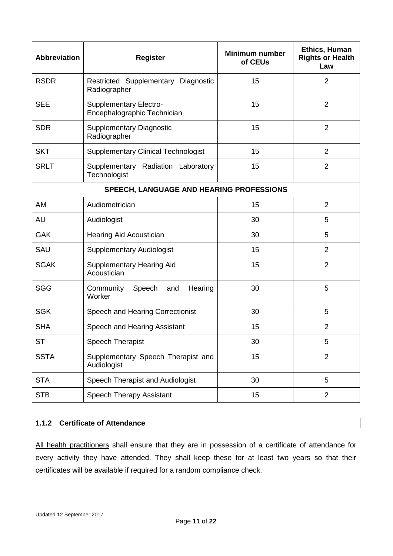| <b>Abbreviation</b>                      | <b>Register</b>                                              | <b>Minimum number</b><br>of CEUs | <b>Ethics, Human</b><br><b>Rights or Health</b><br>Law |
|------------------------------------------|--------------------------------------------------------------|----------------------------------|--------------------------------------------------------|
| <b>RSDR</b>                              | Restricted Supplementary Diagnostic<br>Radiographer          | 15                               | 2                                                      |
| <b>SEE</b>                               | <b>Supplementary Electro-</b><br>Encephalographic Technician | 15                               | $\overline{2}$                                         |
| <b>SDR</b>                               | <b>Supplementary Diagnostic</b><br>Radiographer              | 15                               | $\overline{2}$                                         |
| <b>SKT</b>                               | <b>Supplementary Clinical Technologist</b>                   | 15                               | $\overline{2}$                                         |
| <b>SRLT</b>                              | Supplementary Radiation Laboratory<br>Technologist           | 15                               | $\overline{2}$                                         |
| SPEECH, LANGUAGE AND HEARING PROFESSIONS |                                                              |                                  |                                                        |
| AM                                       | Audiometrician                                               | 15                               | $\overline{2}$                                         |
| <b>AU</b>                                | Audiologist                                                  | 30                               | 5                                                      |
| <b>GAK</b>                               | Hearing Aid Acoustician                                      | 30                               | 5                                                      |
| SAU                                      | <b>Supplementary Audiologist</b>                             | 15                               | $\overline{2}$                                         |
| <b>SGAK</b>                              | <b>Supplementary Hearing Aid</b><br>Acoustician              | 15                               | $\overline{2}$                                         |
| <b>SGG</b>                               | Speech<br>Hearing<br>Community<br>and<br>Worker              | 30                               | 5                                                      |
| <b>SGK</b>                               | Speech and Hearing Correctionist                             | 30                               | 5                                                      |
| <b>SHA</b>                               | Speech and Hearing Assistant                                 | 15                               | $\overline{2}$                                         |
| <b>ST</b>                                | <b>Speech Therapist</b>                                      | 30                               | 5                                                      |
| <b>SSTA</b>                              | Supplementary Speech Therapist and<br>Audiologist            | 15                               | $\overline{2}$                                         |
| <b>STA</b>                               | Speech Therapist and Audiologist                             | 30                               | 5                                                      |
| <b>STB</b>                               | Speech Therapy Assistant                                     | 15                               | $\overline{2}$                                         |

# <span id="page-11-0"></span>**1.1.2 Certificate of Attendance**

All health practitioners shall ensure that they are in possession of a certificate of attendance for every activity they have attended. They shall keep these for at least two years so that their certificates will be available if required for a random compliance check.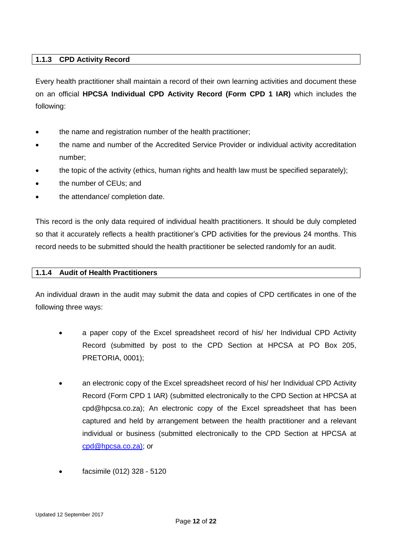# <span id="page-12-0"></span>**1.1.3 CPD Activity Record**

Every health practitioner shall maintain a record of their own learning activities and document these on an official **HPCSA Individual CPD Activity Record (Form CPD 1 IAR)** which includes the following:

- the name and registration number of the health practitioner;
- the name and number of the Accredited Service Provider or individual activity accreditation number;
- the topic of the activity (ethics, human rights and health law must be specified separately);
- the number of CEUs; and
- the attendance/ completion date.

This record is the only data required of individual health practitioners. It should be duly completed so that it accurately reflects a health practitioner's CPD activities for the previous 24 months. This record needs to be submitted should the health practitioner be selected randomly for an audit.

#### <span id="page-12-1"></span>**1.1.4 Audit of Health Practitioners**

An individual drawn in the audit may submit the data and copies of CPD certificates in one of the following three ways:

- a paper copy of the Excel spreadsheet record of his/ her Individual CPD Activity Record (submitted by post to the CPD Section at HPCSA at PO Box 205, PRETORIA, 0001);
- an electronic copy of the Excel spreadsheet record of his/ her Individual CPD Activity Record (Form CPD 1 IAR) (submitted electronically to the CPD Section at HPCSA at cpd@hpcsa.co.za); An electronic copy of the Excel spreadsheet that has been captured and held by arrangement between the health practitioner and a relevant individual or business (submitted electronically to the CPD Section at HPCSA at [cpd@hpcsa.co.za\);](mailto:cpd@hpcsa.co.za)) or
- facsimile (012) 328 5120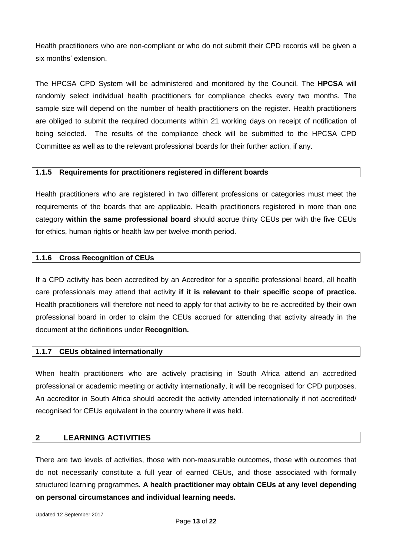Health practitioners who are non-compliant or who do not submit their CPD records will be given a six months' extension.

The HPCSA CPD System will be administered and monitored by the Council. The **HPCSA** will randomly select individual health practitioners for compliance checks every two months. The sample size will depend on the number of health practitioners on the register. Health practitioners are obliged to submit the required documents within 21 working days on receipt of notification of being selected. The results of the compliance check will be submitted to the HPCSA CPD Committee as well as to the relevant professional boards for their further action, if any.

#### <span id="page-13-0"></span>**1.1.5 Requirements for practitioners registered in different boards**

Health practitioners who are registered in two different professions or categories must meet the requirements of the boards that are applicable. Health practitioners registered in more than one category **within the same professional board** should accrue thirty CEUs per with the five CEUs for ethics, human rights or health law per twelve-month period.

#### <span id="page-13-1"></span>**1.1.6 Cross Recognition of CEUs**

If a CPD activity has been accredited by an Accreditor for a specific professional board, all health care professionals may attend that activity **if it is relevant to their specific scope of practice.**  Health practitioners will therefore not need to apply for that activity to be re-accredited by their own professional board in order to claim the CEUs accrued for attending that activity already in the document at the definitions under **Recognition.**

#### <span id="page-13-2"></span>**1.1.7 CEUs obtained internationally**

When health practitioners who are actively practising in South Africa attend an accredited professional or academic meeting or activity internationally, it will be recognised for CPD purposes. An accreditor in South Africa should accredit the activity attended internationally if not accredited/ recognised for CEUs equivalent in the country where it was held.

#### <span id="page-13-3"></span>**2 LEARNING ACTIVITIES**

There are two levels of activities, those with non-measurable outcomes, those with outcomes that do not necessarily constitute a full year of earned CEUs, and those associated with formally structured learning programmes. **A health practitioner may obtain CEUs at any level depending on personal circumstances and individual learning needs.**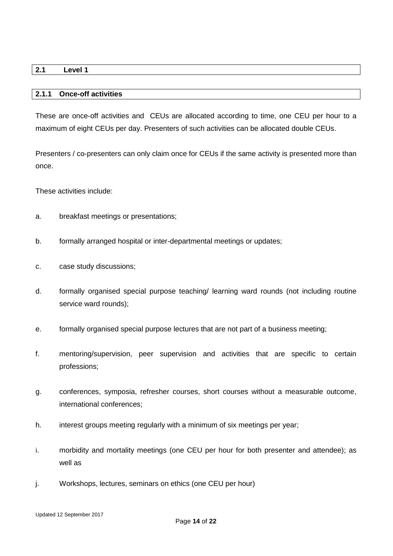<span id="page-14-0"></span>

| $\epsilon$<br>-<br>-- | $\sim$<br>-- |  |
|-----------------------|--------------|--|
|                       |              |  |

#### <span id="page-14-1"></span>**2.1.1 Once-off activities**

These are once-off activities and CEUs are allocated according to time, one CEU per hour to a maximum of eight CEUs per day. Presenters of such activities can be allocated double CEUs.

Presenters / co-presenters can only claim once for CEUs if the same activity is presented more than once.

These activities include:

- a. breakfast meetings or presentations;
- b. formally arranged hospital or inter-departmental meetings or updates;
- c. case study discussions;
- d. formally organised special purpose teaching/ learning ward rounds (not including routine service ward rounds);
- e. formally organised special purpose lectures that are not part of a business meeting;
- f. mentoring/supervision, peer supervision and activities that are specific to certain professions;
- g. conferences, symposia, refresher courses, short courses without a measurable outcome, international conferences;
- h. interest groups meeting regularly with a minimum of six meetings per year;
- i. morbidity and mortality meetings (one CEU per hour for both presenter and attendee); as well as
- j. Workshops, lectures, seminars on ethics (one CEU per hour)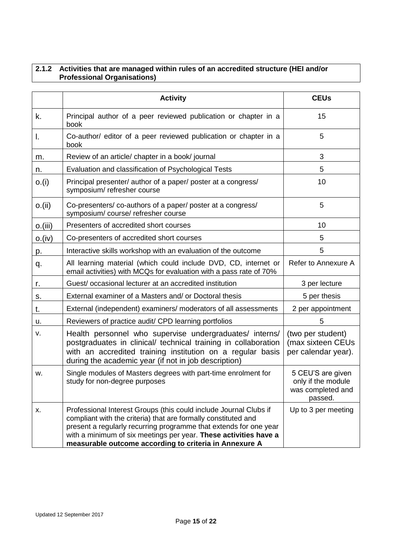#### <span id="page-15-0"></span>**2.1.2 Activities that are managed within rules of an accredited structure (HEI and/or Professional Organisations)**

|         | <b>Activity</b>                                                                                                                                                                                                                                                                                                                        | <b>CEUs</b>                                                             |
|---------|----------------------------------------------------------------------------------------------------------------------------------------------------------------------------------------------------------------------------------------------------------------------------------------------------------------------------------------|-------------------------------------------------------------------------|
| k.      | Principal author of a peer reviewed publication or chapter in a<br>book                                                                                                                                                                                                                                                                | 15                                                                      |
| Ι.      | Co-author/ editor of a peer reviewed publication or chapter in a<br>book                                                                                                                                                                                                                                                               | 5                                                                       |
| m.      | Review of an article/ chapter in a book/ journal                                                                                                                                                                                                                                                                                       | 3                                                                       |
| n.      | Evaluation and classification of Psychological Tests                                                                                                                                                                                                                                                                                   | 5                                                                       |
| O.(i)   | Principal presenter/ author of a paper/ poster at a congress/<br>symposium/ refresher course                                                                                                                                                                                                                                           | 10                                                                      |
| O.(ii)  | Co-presenters/co-authors of a paper/poster at a congress/<br>symposium/course/refresher course                                                                                                                                                                                                                                         | 5                                                                       |
| O.(iii) | Presenters of accredited short courses                                                                                                                                                                                                                                                                                                 | 10                                                                      |
| O.(iv)  | Co-presenters of accredited short courses                                                                                                                                                                                                                                                                                              | 5                                                                       |
| р.      | Interactive skills workshop with an evaluation of the outcome                                                                                                                                                                                                                                                                          | 5                                                                       |
| q.      | All learning material (which could include DVD, CD, internet or<br>email activities) with MCQs for evaluation with a pass rate of 70%                                                                                                                                                                                                  | Refer to Annexure A                                                     |
| r.      | Guest/occasional lecturer at an accredited institution                                                                                                                                                                                                                                                                                 | 3 per lecture                                                           |
| S.      | External examiner of a Masters and/ or Doctoral thesis                                                                                                                                                                                                                                                                                 | 5 per thesis                                                            |
| t.      | External (independent) examiners/ moderators of all assessments                                                                                                                                                                                                                                                                        | 2 per appointment                                                       |
| u.      | Reviewers of practice audit/ CPD learning portfolios                                                                                                                                                                                                                                                                                   | 5                                                                       |
| v.      | Health personnel who supervise undergraduates/ interns/<br>postgraduates in clinical/ technical training in collaboration<br>with an accredited training institution on a regular basis<br>during the academic year (if not in job description)                                                                                        | (two per student)<br>(max sixteen CEUs<br>per calendar year).           |
| W.      | Single modules of Masters degrees with part-time enrolment for<br>study for non-degree purposes                                                                                                                                                                                                                                        | 5 CEU'S are given<br>only if the module<br>was completed and<br>passed. |
| х.      | Professional Interest Groups (this could include Journal Clubs if<br>compliant with the criteria) that are formally constituted and<br>present a regularly recurring programme that extends for one year<br>with a minimum of six meetings per year. These activities have a<br>measurable outcome according to criteria in Annexure A | Up to 3 per meeting                                                     |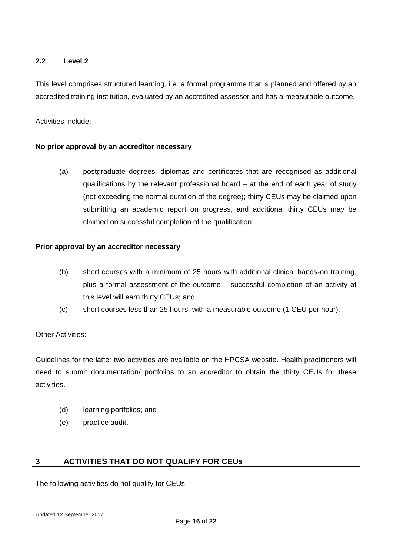<span id="page-16-0"></span>

This level comprises structured learning, i.e. a formal programme that is planned and offered by an accredited training institution, evaluated by an accredited assessor and has a measurable outcome.

Activities include:

#### **No prior approval by an accreditor necessary**

(a) postgraduate degrees, diplomas and certificates that are recognised as additional qualifications by the relevant professional board – at the end of each year of study (not exceeding the normal duration of the degree); thirty CEUs may be claimed upon submitting an academic report on progress, and additional thirty CEUs may be claimed on successful completion of the qualification;

#### **Prior approval by an accreditor necessary**

- (b) short courses with a minimum of 25 hours with additional clinical hands-on training, plus a formal assessment of the outcome – successful completion of an activity at this level will earn thirty CEUs; and
- (c) short courses less than 25 hours, with a measurable outcome (1 CEU per hour).

#### Other Activities:

Guidelines for the latter two activities are available on the HPCSA website. Health practitioners will need to submit documentation/ portfolios to an accreditor to obtain the thirty CEUs for these activities.

- (d) learning portfolios; and
- (e) practice audit.

# <span id="page-16-1"></span>**3 ACTIVITIES THAT DO NOT QUALIFY FOR CEUs**

The following activities do not qualify for CEUs: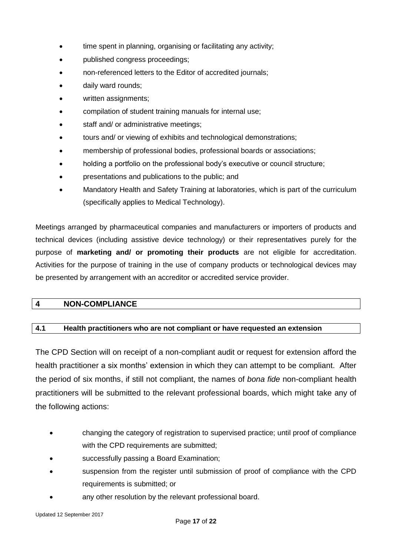- time spent in planning, organising or facilitating any activity;
- published congress proceedings;
- non-referenced letters to the Editor of accredited journals;
- daily ward rounds:
- written assignments;
- compilation of student training manuals for internal use;
- staff and/ or administrative meetings;
- tours and/ or viewing of exhibits and technological demonstrations;
- membership of professional bodies, professional boards or associations;
- holding a portfolio on the professional body's executive or council structure;
- presentations and publications to the public; and
- Mandatory Health and Safety Training at laboratories, which is part of the curriculum (specifically applies to Medical Technology).

Meetings arranged by pharmaceutical companies and manufacturers or importers of products and technical devices (including assistive device technology) or their representatives purely for the purpose of **marketing and/ or promoting their products** are not eligible for accreditation. Activities for the purpose of training in the use of company products or technological devices may be presented by arrangement with an accreditor or accredited service provider.

# <span id="page-17-0"></span>**4 NON-COMPLIANCE**

# <span id="page-17-1"></span>**4.1 Health practitioners who are not compliant or have requested an extension**

The CPD Section will on receipt of a non-compliant audit or request for extension afford the health practitioner a six months' extension in which they can attempt to be compliant. After the period of six months, if still not compliant, the names of *bona fide* non-compliant health practitioners will be submitted to the relevant professional boards, which might take any of the following actions:

- changing the category of registration to supervised practice; until proof of compliance with the CPD requirements are submitted;
- successfully passing a Board Examination;
- suspension from the register until submission of proof of compliance with the CPD requirements is submitted; or
- any other resolution by the relevant professional board.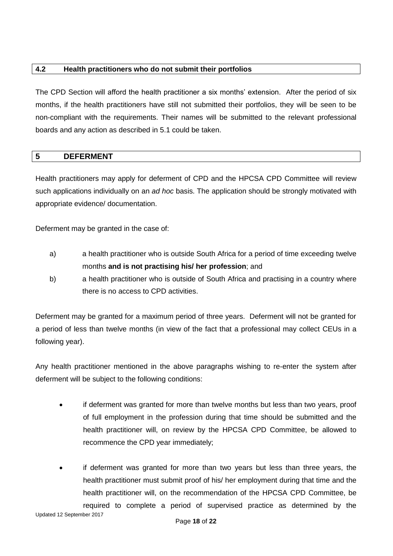### <span id="page-18-0"></span>**4.2 Health practitioners who do not submit their portfolios**

The CPD Section will afford the health practitioner a six months' extension. After the period of six months, if the health practitioners have still not submitted their portfolios, they will be seen to be non-compliant with the requirements. Their names will be submitted to the relevant professional boards and any action as described in 5.1 could be taken.

### <span id="page-18-1"></span>**5 DEFERMENT**

Health practitioners may apply for deferment of CPD and the HPCSA CPD Committee will review such applications individually on an *ad hoc* basis. The application should be strongly motivated with appropriate evidence/ documentation.

Deferment may be granted in the case of:

- a) a health practitioner who is outside South Africa for a period of time exceeding twelve months **and is not practising his/ her profession**; and
- b) a health practitioner who is outside of South Africa and practising in a country where there is no access to CPD activities.

Deferment may be granted for a maximum period of three years. Deferment will not be granted for a period of less than twelve months (in view of the fact that a professional may collect CEUs in a following year).

Any health practitioner mentioned in the above paragraphs wishing to re-enter the system after deferment will be subject to the following conditions:

- if deferment was granted for more than twelve months but less than two years, proof of full employment in the profession during that time should be submitted and the health practitioner will, on review by the HPCSA CPD Committee, be allowed to recommence the CPD year immediately;
- if deferment was granted for more than two years but less than three years, the health practitioner must submit proof of his/ her employment during that time and the health practitioner will, on the recommendation of the HPCSA CPD Committee, be required to complete a period of supervised practice as determined by the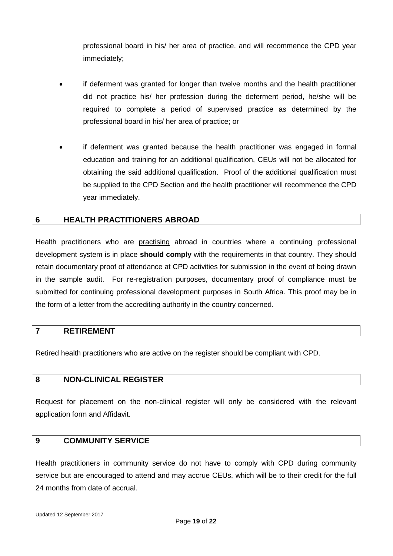professional board in his/ her area of practice, and will recommence the CPD year immediately;

- if deferment was granted for longer than twelve months and the health practitioner did not practice his/ her profession during the deferment period, he/she will be required to complete a period of supervised practice as determined by the professional board in his/ her area of practice; or
- if deferment was granted because the health practitioner was engaged in formal education and training for an additional qualification, CEUs will not be allocated for obtaining the said additional qualification. Proof of the additional qualification must be supplied to the CPD Section and the health practitioner will recommence the CPD year immediately.

# <span id="page-19-0"></span>**6 HEALTH PRACTITIONERS ABROAD**

Health practitioners who are practising abroad in countries where a continuing professional development system is in place **should comply** with the requirements in that country. They should retain documentary proof of attendance at CPD activities for submission in the event of being drawn in the sample audit. For re-registration purposes, documentary proof of compliance must be submitted for continuing professional development purposes in South Africa. This proof may be in the form of a letter from the accrediting authority in the country concerned.

# <span id="page-19-1"></span>**7 RETIREMENT**

Retired health practitioners who are active on the register should be compliant with CPD.

# <span id="page-19-2"></span>**8 NON-CLINICAL REGISTER**

Request for placement on the non-clinical register will only be considered with the relevant application form and Affidavit.

#### <span id="page-19-3"></span>**9 COMMUNITY SERVICE**

Health practitioners in community service do not have to comply with CPD during community service but are encouraged to attend and may accrue CEUs, which will be to their credit for the full 24 months from date of accrual.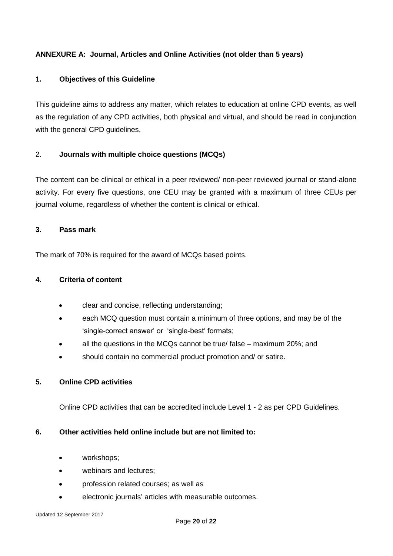# <span id="page-20-0"></span>**ANNEXURE A: Journal, Articles and Online Activities (not older than 5 years)**

# **1. Objectives of this Guideline**

This guideline aims to address any matter, which relates to education at online CPD events, as well as the regulation of any CPD activities, both physical and virtual, and should be read in conjunction with the general CPD guidelines.

#### 2. **Journals with multiple choice questions (MCQs)**

The content can be clinical or ethical in a peer reviewed/ non-peer reviewed journal or stand-alone activity. For every five questions, one CEU may be granted with a maximum of three CEUs per journal volume, regardless of whether the content is clinical or ethical.

#### **3. Pass mark**

The mark of 70% is required for the award of MCQs based points.

#### **4. Criteria of content**

- clear and concise, reflecting understanding;
- each MCQ question must contain a minimum of three options, and may be of the 'single-correct answer' or 'single-best' formats;
- all the questions in the MCQs cannot be true/ false maximum 20%; and
- should contain no commercial product promotion and/ or satire.

#### **5. Online CPD activities**

Online CPD activities that can be accredited include Level 1 - 2 as per CPD Guidelines.

#### **6. Other activities held online include but are not limited to:**

- workshops;
- webinars and lectures;
- profession related courses; as well as
- electronic journals' articles with measurable outcomes.